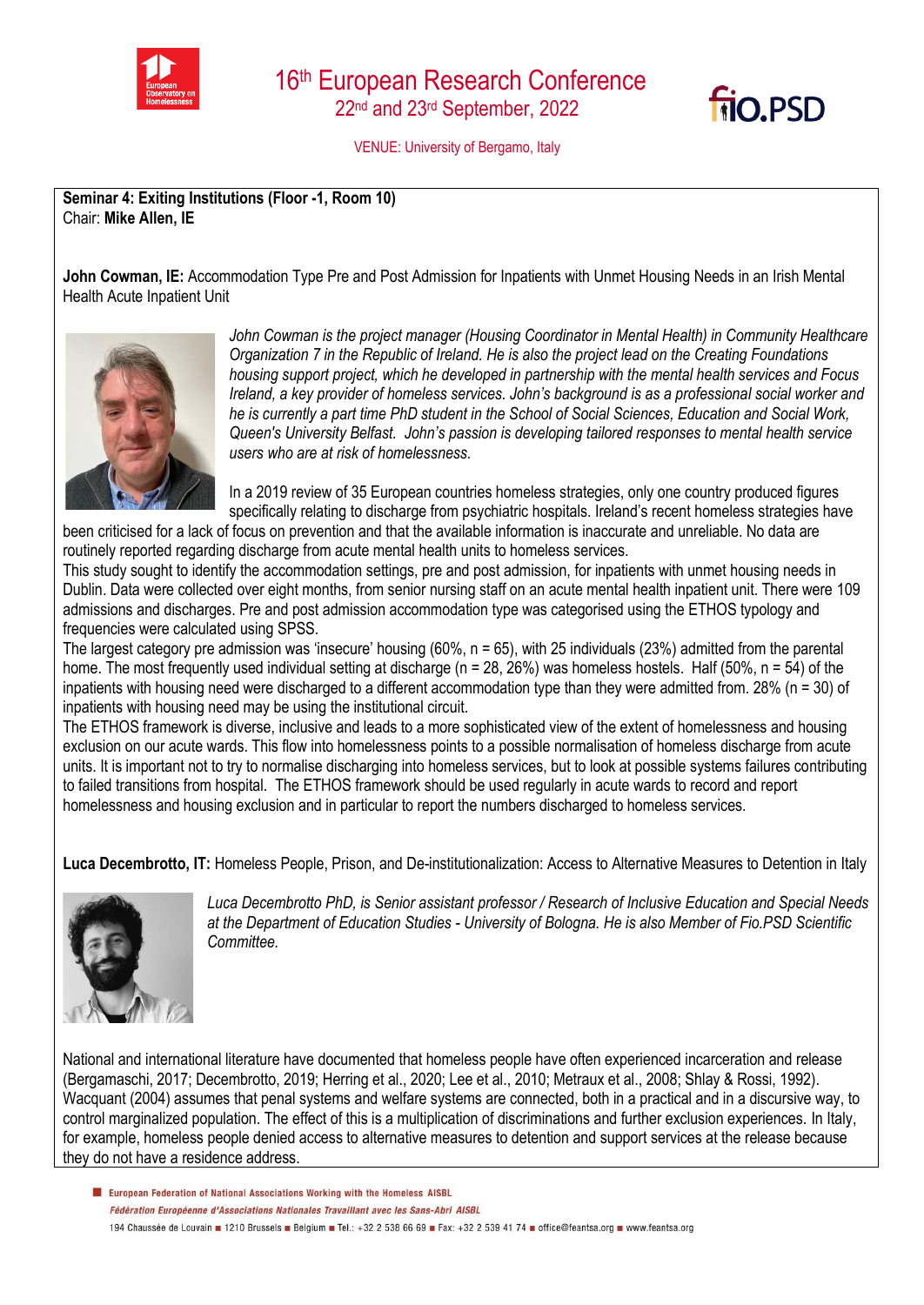



VENUE: University of Bergamo, Italy

**Seminar 4: Exiting Institutions (Floor -1, Room 10)**  Chair: **Mike Allen, IE**

**John Cowman, IE:** Accommodation Type Pre and Post Admission for Inpatients with Unmet Housing Needs in an Irish Mental Health Acute Inpatient Unit



*John Cowman is the project manager (Housing Coordinator in Mental Health) in Community Healthcare Organization 7 in the Republic of Ireland. He is also the project lead on the Creating Foundations housing support project, which he developed in partnership with the mental health services and Focus Ireland, a key provider of homeless services. John's background is as a professional social worker and he is currently a part time PhD student in the School of Social Sciences, Education and Social Work, Queen's University Belfast. John's passion is developing tailored responses to mental health service users who are at risk of homelessness.*

In a 2019 review of 35 European countries homeless strategies, only one country produced figures specifically relating to discharge from psychiatric hospitals. Ireland's recent homeless strategies have

been criticised for a lack of focus on prevention and that the available information is inaccurate and unreliable. No data are routinely reported regarding discharge from acute mental health units to homeless services.

This study sought to identify the accommodation settings, pre and post admission, for inpatients with unmet housing needs in Dublin. Data were collected over eight months, from senior nursing staff on an acute mental health inpatient unit. There were 109 admissions and discharges. Pre and post admission accommodation type was categorised using the ETHOS typology and frequencies were calculated using SPSS.

The largest category pre admission was 'insecure' housing (60%, n = 65), with 25 individuals (23%) admitted from the parental home. The most frequently used individual setting at discharge ( $n = 28$ , 26%) was homeless hostels. Half (50%,  $n = 54$ ) of the inpatients with housing need were discharged to a different accommodation type than they were admitted from. 28% (n = 30) of inpatients with housing need may be using the institutional circuit.

The ETHOS framework is diverse, inclusive and leads to a more sophisticated view of the extent of homelessness and housing exclusion on our acute wards. This flow into homelessness points to a possible normalisation of homeless discharge from acute units. It is important not to try to normalise discharging into homeless services, but to look at possible systems failures contributing to failed transitions from hospital. The ETHOS framework should be used regularly in acute wards to record and report homelessness and housing exclusion and in particular to report the numbers discharged to homeless services.

**Luca Decembrotto, IT:** Homeless People, Prison, and De-institutionalization: Access to Alternative Measures to Detention in Italy



*Luca Decembrotto PhD, is Senior assistant professor / Research of Inclusive Education and Special Needs at the Department of Education Studies - University of Bologna. He is also Member of Fio.PSD Scientific Committee.*

National and international literature have documented that homeless people have often experienced incarceration and release (Bergamaschi, 2017; Decembrotto, 2019; Herring et al., 2020; Lee et al., 2010; Metraux et al., 2008; Shlay & Rossi, 1992). Wacquant (2004) assumes that penal systems and welfare systems are connected, both in a practical and in a discursive way, to control marginalized population. The effect of this is a multiplication of discriminations and further exclusion experiences. In Italy, for example, homeless people denied access to alternative measures to detention and support services at the release because they do not have a residence address.

European Federation of National Associations Working with the Homeless AISBL Fédération Européenne d'Associations Nationales Travaillant avec les Sans-Abri AISBL 194 Chaussée de Louvain 1210 Brussels Belgium B Tel.: +32 2 538 66 69 B Fax: +32 2 539 41 74 B office@feantsa.org B www.feantsa.org